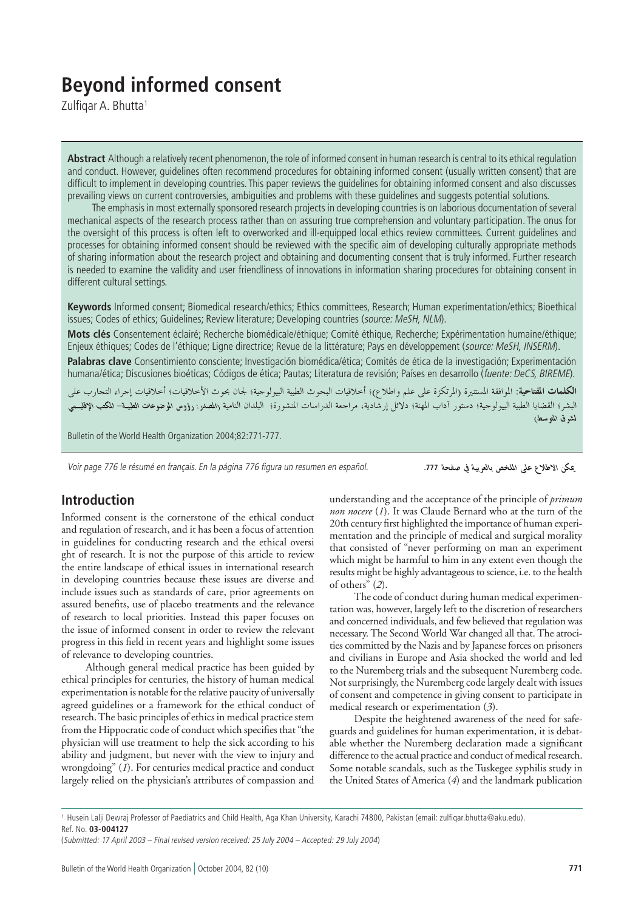# **Beyond informed consent**

Zulfiqar A. Bhutta<sup>1</sup>

**Abstract** Although a relatively recent phenomenon, the role of informed consent in human research is central to its ethical regulation and conduct. However, guidelines often recommend procedures for obtaining informed consent (usually written consent) that are difficult to implement in developing countries. This paper reviews the guidelines for obtaining informed consent and also discusses prevailing views on current controversies, ambiguities and problems with these guidelines and suggests potential solutions.

The emphasis in most externally sponsored research projects in developing countries is on laborious documentation of several mechanical aspects of the research process rather than on assuring true comprehension and voluntary participation. The onus for the oversight of this process is often left to overworked and ill-equipped local ethics review committees. Current guidelines and processes for obtaining informed consent should be reviewed with the specific aim of developing culturally appropriate methods of sharing information about the research project and obtaining and documenting consent that is truly informed. Further research is needed to examine the validity and user friendliness of innovations in information sharing procedures for obtaining consent in different cultural settings.

**Keywords** Informed consent; Biomedical research/ethics; Ethics committees, Research; Human experimentation/ethics; Bioethical issues; Codes of ethics; Guidelines; Review literature; Developing countries (source: MeSH, NLM).

**Mots clés** Consentement éclairé; Recherche biomédicale/éthique; Comité éthique, Recherche; Expérimentation humaine/éthique; Enjeux éthiques; Codes de l'éthique; Ligne directrice; Revue de la littérature; Pays en développement (source: MeSH, INSERM).

**Palabras clave** Consentimiento consciente; Investigación biomédica/ética; Comités de ética de la investigación; Experimentación humana/ética; Discusiones bioéticas; Códigos de ética; Pautas; Literatura de revisión; Países en desarrollo (fuente: DeCS, BIREME).

**الكلمات المفتاحية**: الموافقة المستنيرة (المرتكزة على علم واطلاع)؛ أخلاقيات البحوث الطبية البيولوجية؛ لجان بحوث الأخلاقيات؛ أخلاقيات إجراء التحارب علم البشر؛ القضايا الطبية البيولوجية؛ دستور آداب المهنة؛ دلائل إرشادية، مراجعة الدراسات المنشورة؛ البلدان النامية <sub>(</sub>المصدر : رؤوس الموضوعا**ت الطبيـة– المكتب الإفليسمي** لشوق المتوسط)

Bulletin of the World Health Organization 2004;82:771-777.

Voir page 776 le résumé en français. En la página 776 figura un resumen en español.

يمكن الاطلاع على الملخص بالعربية في صفحة 777.

# **Introduction**

Informed consent is the cornerstone of the ethical conduct and regulation of research, and it has been a focus of attention in guidelines for conducting research and the ethical oversi ght of research. It is not the purpose of this article to review the entire landscape of ethical issues in international research in developing countries because these issues are diverse and include issues such as standards of care, prior agreements on assured benefits, use of placebo treatments and the relevance of research to local priorities. Instead this paper focuses on the issue of informed consent in order to review the relevant progress in this field in recent years and highlight some issues of relevance to developing countries.

Although general medical practice has been guided by ethical principles for centuries, the history of human medical experimentation is notable for the relative paucity of universally agreed guidelines or a framework for the ethical conduct of research. The basic principles of ethics in medical practice stem from the Hippocratic code of conduct which specifies that "the physician will use treatment to help the sick according to his ability and judgment, but never with the view to injury and wrongdoing" (*1*). For centuries medical practice and conduct largely relied on the physician's attributes of compassion and

understanding and the acceptance of the principle of *primum non nocere* (*1*). It was Claude Bernard who at the turn of the 20th century first highlighted the importance of human experimentation and the principle of medical and surgical morality that consisted of "never performing on man an experiment which might be harmful to him in any extent even though the results might be highly advantageous to science, i.e. to the health of others" (*2*).

The code of conduct during human medical experimentation was, however, largely left to the discretion of researchers and concerned individuals, and few believed that regulation was necessary. The Second World War changed all that. The atrocities committed by the Nazis and by Japanese forces on prisoners and civilians in Europe and Asia shocked the world and led to the Nuremberg trials and the subsequent Nuremberg code. Not surprisingly, the Nuremberg code largely dealt with issues of consent and competence in giving consent to participate in medical research or experimentation (*3*).

Despite the heightened awareness of the need for safeguards and guidelines for human experimentation, it is debatable whether the Nuremberg declaration made a significant difference to the actual practice and conduct of medical research. Some notable scandals, such as the Tuskegee syphilis study in the United States of America (*4*) and the landmark publication

<sup>1</sup> Husein Lalji Dewraj Professor of Paediatrics and Child Health, Aga Khan University, Karachi 74800, Pakistan (email: zulfiqar.bhutta@aku.edu). Ref. No. **03-004127**

<sup>(</sup>Submitted: 17 April 2003 – Final revised version received: 25 July 2004 – Accepted: 29 July 2004)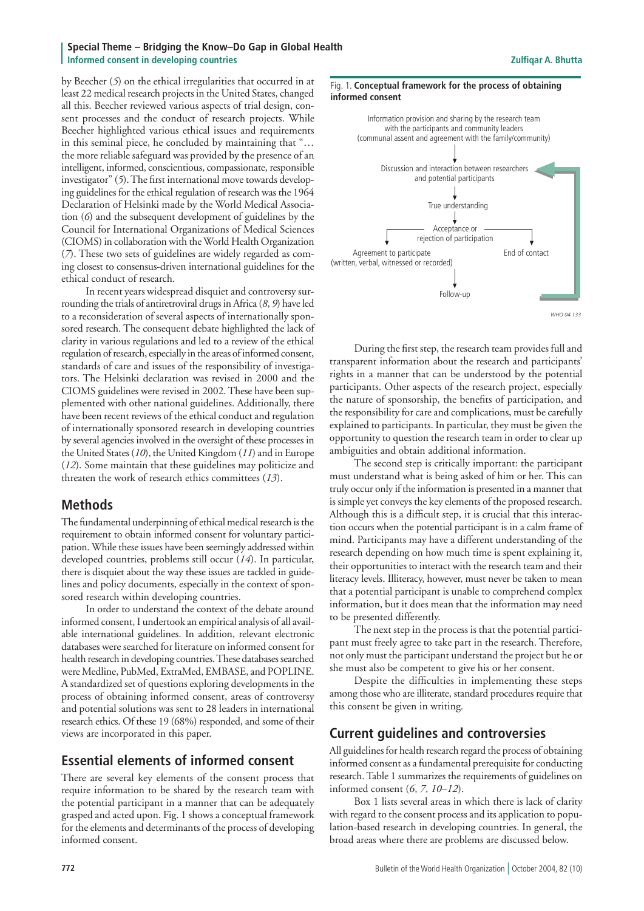#### **Special Theme – Bridging the Know–Do Gap in Global Health Informed consent in developing countries** <br> **Informed consent in developing countries**

by Beecher (*5*) on the ethical irregularities that occurred in at least 22 medical research projects in the United States, changed all this. Beecher reviewed various aspects of trial design, consent processes and the conduct of research projects. While Beecher highlighted various ethical issues and requirements in this seminal piece, he concluded by maintaining that "… the more reliable safeguard was provided by the presence of an intelligent, informed, conscientious, compassionate, responsible investigator" (*5*). The first international move towards developing guidelines for the ethical regulation of research was the 1964 Declaration of Helsinki made by the World Medical Association (*6*) and the subsequent development of guidelines by the Council for International Organizations of Medical Sciences (CIOMS) in collaboration with the World Health Organization (*7*). These two sets of guidelines are widely regarded as coming closest to consensus-driven international guidelines for the ethical conduct of research.

In recent years widespread disquiet and controversy surrounding the trials of antiretroviral drugs in Africa (*8*, *9*) have led to a reconsideration of several aspects of internationally sponsored research. The consequent debate highlighted the lack of clarity in various regulations and led to a review of the ethical regulation of research, especially in the areas of informed consent, standards of care and issues of the responsibility of investigators. The Helsinki declaration was revised in 2000 and the CIOMS guidelines were revised in 2002. These have been supplemented with other national guidelines. Additionally, there have been recent reviews of the ethical conduct and regulation of internationally sponsored research in developing countries by several agencies involved in the oversight of these processes in the United States (*10*), the United Kingdom (*11*) and in Europe (*12*). Some maintain that these guidelines may politicize and threaten the work of research ethics committees (*13*).

# **Methods**

The fundamental underpinning of ethical medical research is the requirement to obtain informed consent for voluntary participation. While these issues have been seemingly addressed within developed countries, problems still occur (*14*). In particular, there is disquiet about the way these issues are tackled in guidelines and policy documents, especially in the context of sponsored research within developing countries.

In order to understand the context of the debate around informed consent, I undertook an empirical analysis of all available international guidelines. In addition, relevant electronic databases were searched for literature on informed consent for health research in developing countries. These databases searched were Medline, PubMed, ExtraMed, EMBASE, and POPLINE. A standardized set of questions exploring developments in the process of obtaining informed consent, areas of controversy and potential solutions was sent to 28 leaders in international research ethics. Of these 19 (68%) responded, and some of their views are incorporated in this paper.

# **Essential elements of informed consent**

There are several key elements of the consent process that require information to be shared by the research team with the potential participant in a manner that can be adequately grasped and acted upon. Fig. 1 shows a conceptual framework for the elements and determinants of the process of developing informed consent.

#### Fig. 1. **Conceptual framework for the process of obtaining informed consent**



*WHO 04.133*

During the first step, the research team provides full and transparent information about the research and participants' rights in a manner that can be understood by the potential participants. Other aspects of the research project, especially the nature of sponsorship, the benefits of participation, and the responsibility for care and complications, must be carefully explained to participants. In particular, they must be given the opportunity to question the research team in order to clear up ambiguities and obtain additional information.

The second step is critically important: the participant must understand what is being asked of him or her. This can truly occur only if the information is presented in a manner that is simple yet conveys the key elements of the proposed research. Although this is a difficult step, it is crucial that this interaction occurs when the potential participant is in a calm frame of mind. Participants may have a different understanding of the research depending on how much time is spent explaining it, their opportunities to interact with the research team and their literacy levels. Illiteracy, however, must never be taken to mean that a potential participant is unable to comprehend complex information, but it does mean that the information may need to be presented differently.

The next step in the process is that the potential participant must freely agree to take part in the research. Therefore, not only must the participant understand the project but he or she must also be competent to give his or her consent.

Despite the difficulties in implementing these steps among those who are illiterate, standard procedures require that this consent be given in writing.

# **Current guidelines and controversies**

All guidelines for health research regard the process of obtaining informed consent as a fundamental prerequisite for conducting research. Table 1 summarizes the requirements of guidelines on informed consent (*6*, *7*, *10–12*).

Box 1 lists several areas in which there is lack of clarity with regard to the consent process and its application to population-based research in developing countries. In general, the broad areas where there are problems are discussed below.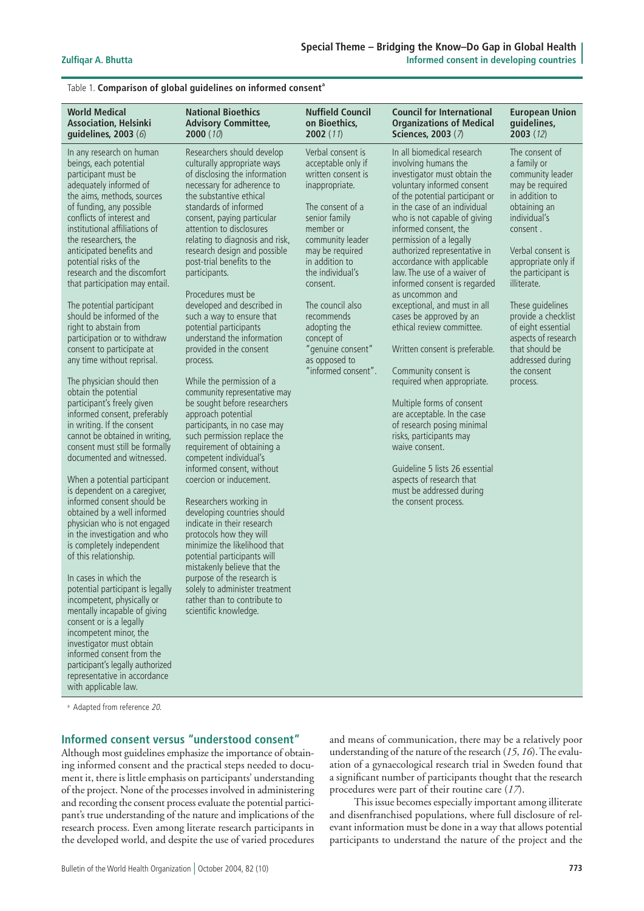| <b>World Medical</b>                                                                                                                                                                                                                                                                                                                                                                                                                                                                                                                                                                                                                                                                                                                                                                                                                                                                                                                                                                                                                                                                                                                                                                                                                                                                                                                                                                               | <b>National Bioethics</b>                                                                                                                                                                                                                                                                                                                                                                                                                                                                                                                                                                                                                                                                                                                                                                                                                                                                                                                                                                                                                                                                                                                                                           | <b>Nuffield Council</b>                                                                                                                                                                                                                                                                                                                                 | <b>Council for International</b>                                                                                                                                                                                                                                                                                                                                                                                                                                                                                                                                                                                                                                                                                                                                                                                                                                 | <b>European Union</b>                                                                                                                                                                                                                                                                                                                                                        |
|----------------------------------------------------------------------------------------------------------------------------------------------------------------------------------------------------------------------------------------------------------------------------------------------------------------------------------------------------------------------------------------------------------------------------------------------------------------------------------------------------------------------------------------------------------------------------------------------------------------------------------------------------------------------------------------------------------------------------------------------------------------------------------------------------------------------------------------------------------------------------------------------------------------------------------------------------------------------------------------------------------------------------------------------------------------------------------------------------------------------------------------------------------------------------------------------------------------------------------------------------------------------------------------------------------------------------------------------------------------------------------------------------|-------------------------------------------------------------------------------------------------------------------------------------------------------------------------------------------------------------------------------------------------------------------------------------------------------------------------------------------------------------------------------------------------------------------------------------------------------------------------------------------------------------------------------------------------------------------------------------------------------------------------------------------------------------------------------------------------------------------------------------------------------------------------------------------------------------------------------------------------------------------------------------------------------------------------------------------------------------------------------------------------------------------------------------------------------------------------------------------------------------------------------------------------------------------------------------|---------------------------------------------------------------------------------------------------------------------------------------------------------------------------------------------------------------------------------------------------------------------------------------------------------------------------------------------------------|------------------------------------------------------------------------------------------------------------------------------------------------------------------------------------------------------------------------------------------------------------------------------------------------------------------------------------------------------------------------------------------------------------------------------------------------------------------------------------------------------------------------------------------------------------------------------------------------------------------------------------------------------------------------------------------------------------------------------------------------------------------------------------------------------------------------------------------------------------------|------------------------------------------------------------------------------------------------------------------------------------------------------------------------------------------------------------------------------------------------------------------------------------------------------------------------------------------------------------------------------|
| <b>Association, Helsinki</b>                                                                                                                                                                                                                                                                                                                                                                                                                                                                                                                                                                                                                                                                                                                                                                                                                                                                                                                                                                                                                                                                                                                                                                                                                                                                                                                                                                       | <b>Advisory Committee,</b>                                                                                                                                                                                                                                                                                                                                                                                                                                                                                                                                                                                                                                                                                                                                                                                                                                                                                                                                                                                                                                                                                                                                                          | on Bioethics,                                                                                                                                                                                                                                                                                                                                           | <b>Organizations of Medical</b>                                                                                                                                                                                                                                                                                                                                                                                                                                                                                                                                                                                                                                                                                                                                                                                                                                  | guidelines,                                                                                                                                                                                                                                                                                                                                                                  |
| guidelines, 2003 (6)                                                                                                                                                                                                                                                                                                                                                                                                                                                                                                                                                                                                                                                                                                                                                                                                                                                                                                                                                                                                                                                                                                                                                                                                                                                                                                                                                                               | 2000(10)                                                                                                                                                                                                                                                                                                                                                                                                                                                                                                                                                                                                                                                                                                                                                                                                                                                                                                                                                                                                                                                                                                                                                                            | 2002(11)                                                                                                                                                                                                                                                                                                                                                | Sciences, 2003 (7)                                                                                                                                                                                                                                                                                                                                                                                                                                                                                                                                                                                                                                                                                                                                                                                                                                               | 2003(12)                                                                                                                                                                                                                                                                                                                                                                     |
| In any research on human<br>beings, each potential<br>participant must be<br>adequately informed of<br>the aims, methods, sources<br>of funding, any possible<br>conflicts of interest and<br>institutional affiliations of<br>the researchers, the<br>anticipated benefits and<br>potential risks of the<br>research and the discomfort<br>that participation may entail.<br>The potential participant<br>should be informed of the<br>right to abstain from<br>participation or to withdraw<br>consent to participate at<br>any time without reprisal.<br>The physician should then<br>obtain the potential<br>participant's freely given<br>informed consent, preferably<br>in writing. If the consent<br>cannot be obtained in writing,<br>consent must still be formally<br>documented and witnessed.<br>When a potential participant<br>is dependent on a caregiver,<br>informed consent should be<br>obtained by a well informed<br>physician who is not engaged<br>in the investigation and who<br>is completely independent<br>of this relationship.<br>In cases in which the<br>potential participant is legally<br>incompetent, physically or<br>mentally incapable of giving<br>consent or is a legally<br>incompetent minor, the<br>investigator must obtain<br>informed consent from the<br>participant's legally authorized<br>representative in accordance<br>with applicable law. | Researchers should develop<br>culturally appropriate ways<br>of disclosing the information<br>necessary for adherence to<br>the substantive ethical<br>standards of informed<br>consent, paying particular<br>attention to disclosures<br>relating to diagnosis and risk,<br>research design and possible<br>post-trial benefits to the<br>participants.<br>Procedures must be<br>developed and described in<br>such a way to ensure that<br>potential participants<br>understand the information<br>provided in the consent<br>process.<br>While the permission of a<br>community representative may<br>be sought before researchers<br>approach potential<br>participants, in no case may<br>such permission replace the<br>requirement of obtaining a<br>competent individual's<br>informed consent, without<br>coercion or inducement.<br>Researchers working in<br>developing countries should<br>indicate in their research<br>protocols how they will<br>minimize the likelihood that<br>potential participants will<br>mistakenly believe that the<br>purpose of the research is<br>solely to administer treatment<br>rather than to contribute to<br>scientific knowledge. | Verbal consent is<br>acceptable only if<br>written consent is<br>inappropriate.<br>The consent of a<br>senior family<br>member or<br>community leader<br>may be required<br>in addition to<br>the individual's<br>consent.<br>The council also<br>recommends<br>adopting the<br>concept of<br>"genuine consent"<br>as opposed to<br>"informed consent". | In all biomedical research<br>involving humans the<br>investigator must obtain the<br>voluntary informed consent<br>of the potential participant or<br>in the case of an individual<br>who is not capable of giving<br>informed consent, the<br>permission of a legally<br>authorized representative in<br>accordance with applicable<br>law. The use of a waiver of<br>informed consent is regarded<br>as uncommon and<br>exceptional, and must in all<br>cases be approved by an<br>ethical review committee.<br>Written consent is preferable.<br>Community consent is<br>required when appropriate.<br>Multiple forms of consent<br>are acceptable. In the case<br>of research posing minimal<br>risks, participants may<br>waive consent.<br>Guideline 5 lists 26 essential<br>aspects of research that<br>must be addressed during<br>the consent process. | The consent of<br>a family or<br>community leader<br>may be required<br>in addition to<br>obtaining an<br>individual's<br>consent.<br>Verbal consent is<br>appropriate only if<br>the participant is<br>illiterate.<br>These guidelines<br>provide a checklist<br>of eight essential<br>aspects of research<br>that should be<br>addressed during<br>the consent<br>process. |

#### Table 1. **Comparison of global guidelines on informed consent<sup>a</sup>**

<sup>a</sup> Adapted from reference 20.

#### **Informed consent versus "understood consent"**

Although most guidelines emphasize the importance of obtaining informed consent and the practical steps needed to document it, there is little emphasis on participants' understanding of the project. None of the processes involved in administering and recording the consent process evaluate the potential participant's true understanding of the nature and implications of the research process. Even among literate research participants in the developed world, and despite the use of varied procedures and means of communication, there may be a relatively poor understanding of the nature of the research (*15*, *16*). The evaluation of a gynaecological research trial in Sweden found that a significant number of participants thought that the research procedures were part of their routine care (*17*).

This issue becomes especially important among illiterate and disenfranchised populations, where full disclosure of relevant information must be done in a way that allows potential participants to understand the nature of the project and the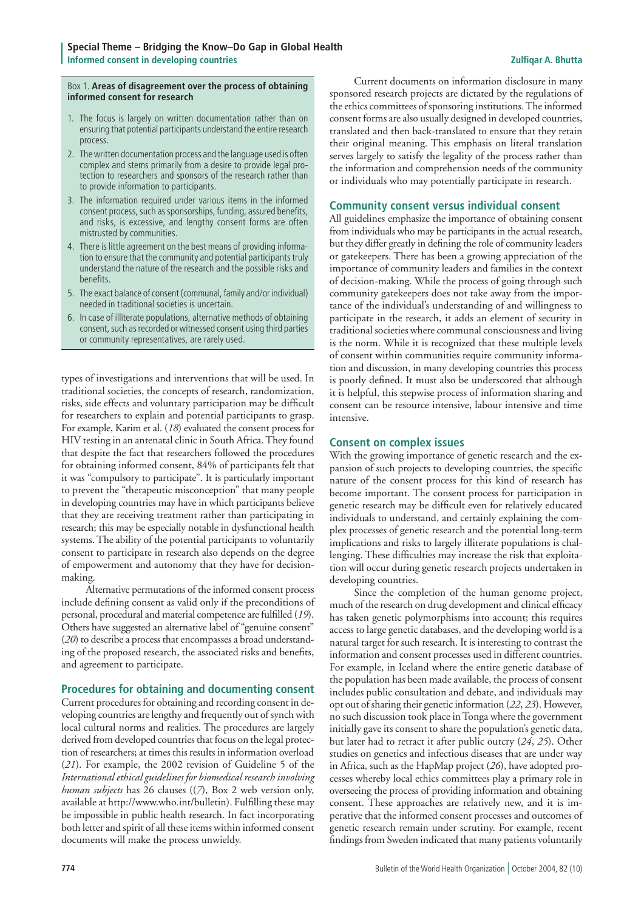#### Box 1. **Areas of disagreement over the process of obtaining informed consent for research**

- 1. The focus is largely on written documentation rather than on ensuring that potential participants understand the entire research process.
- 2. The written documentation process and the language used is often complex and stems primarily from a desire to provide legal pro tection to researchers and sponsors of the research rather than to provide information to participants.
- 3. The information required under various items in the informed consent process, such as sponsorships, funding, assured benefits, and risks, is excessive, and lengthy consent forms are often mistrusted by communities.
- 4. There is little agreement on the best means of providing informa tion to ensure that the community and potential participants truly understand the nature of the research and the possible risks and benefits.
- 5. The exact balance of consent (communal, family and/or individual) needed in traditional societies is uncertain.
- 6. In case of illiterate populations, alternative methods of obtaining consent, such as recorded or witnessed consent using third parties or community representatives, are rarely used.

types of investigations and interventions that will be used. In traditional societies, the concepts of research, randomization, risks, side effects and voluntary participation may be difficult for researchers to explain and potential participants to grasp. For example, Karim et al. (*18*) evaluated the consent process for HIV testing in an antenatal clinic in South Africa. They found that despite the fact that researchers followed the procedures for obtaining informed consent, 84% of participants felt that it was "compulsory to participate". It is particularly important to prevent the "therapeutic misconception" that many people in developing countries may have in which participants believe that they are receiving treatment rather than participating in research; this may be especially notable in dysfunctional health systems. The ability of the potential participants to voluntarily consent to participate in research also depends on the degree of empowerment and autonomy that they have for decisionmaking.

Alternative permutations of the informed consent process include defining consent as valid only if the preconditions of personal, procedural and material competence are fulfilled (*19*). Others have suggested an alternative label of "genuine consent" (*20*) to describe a process that encompasses a broad understanding of the proposed research, the associated risks and benefits, and agreement to participate.

#### **Procedures for obtaining and documenting consent**

Current procedures for obtaining and recording consent in developing countries are lengthy and frequently out of synch with local cultural norms and realities. The procedures are largely derived from developed countries that focus on the legal protection of researchers; at times this results in information overload (*21*). For example, the 2002 revision of Guideline 5 of the *International ethical guidelines for biomedical research involving human subjects* has 26 clauses ((*7*), Box 2 web version only, available at http://www.who.int/bulletin). Fulfilling these may be impossible in public health research. In fact incorporating both letter and spirit of all these items within informed consent documents will make the process unwieldy.

Current documents on information disclosure in many sponsored research projects are dictated by the regulations of the ethics committees of sponsoring institutions. The informed consent forms are also usually designed in developed countries, translated and then back-translated to ensure that they retain their original meaning. This emphasis on literal translation serves largely to satisfy the legality of the process rather than the information and comprehension needs of the community or individuals who may potentially participate in research.

#### **Community consent versus individual consent**

All guidelines emphasize the importance of obtaining consent from individuals who may be participants in the actual research, but they differ greatly in defining the role of community leaders or gatekeepers. There has been a growing appreciation of the importance of community leaders and families in the context of decision-making. While the process of going through such community gatekeepers does not take away from the importance of the individual's understanding of and willingness to participate in the research, it adds an element of security in traditional societies where communal consciousness and living is the norm. While it is recognized that these multiple levels of consent within communities require community information and discussion, in many developing countries this process is poorly defined. It must also be underscored that although it is helpful, this stepwise process of information sharing and consent can be resource intensive, labour intensive and time intensive.

#### **Consent on complex issues**

With the growing importance of genetic research and the expansion of such projects to developing countries, the specific nature of the consent process for this kind of research has become important. The consent process for participation in genetic research may be difficult even for relatively educated individuals to understand, and certainly explaining the complex processes of genetic research and the potential long-term implications and risks to largely illiterate populations is challenging. These difficulties may increase the risk that exploitation will occur during genetic research projects undertaken in developing countries.

Since the completion of the human genome project, much of the research on drug development and clinical efficacy has taken genetic polymorphisms into account; this requires access to large genetic databases, and the developing world is a natural target for such research. It is interesting to contrast the information and consent processes used in different countries. For example, in Iceland where the entire genetic database of the population has been made available, the process of consent includes public consultation and debate, and individuals may opt out of sharing their genetic information (*22*, *23*). However, no such discussion took place in Tonga where the government initially gave its consent to share the population's genetic data, but later had to retract it after public outcry (*24*, *25*). Other studies on genetics and infectious diseases that are under way in Africa, such as the HapMap project (*26*), have adopted processes whereby local ethics committees play a primary role in overseeing the process of providing information and obtaining consent. These approaches are relatively new, and it is imperative that the informed consent processes and outcomes of genetic research remain under scrutiny. For example, recent findings from Sweden indicated that many patients voluntarily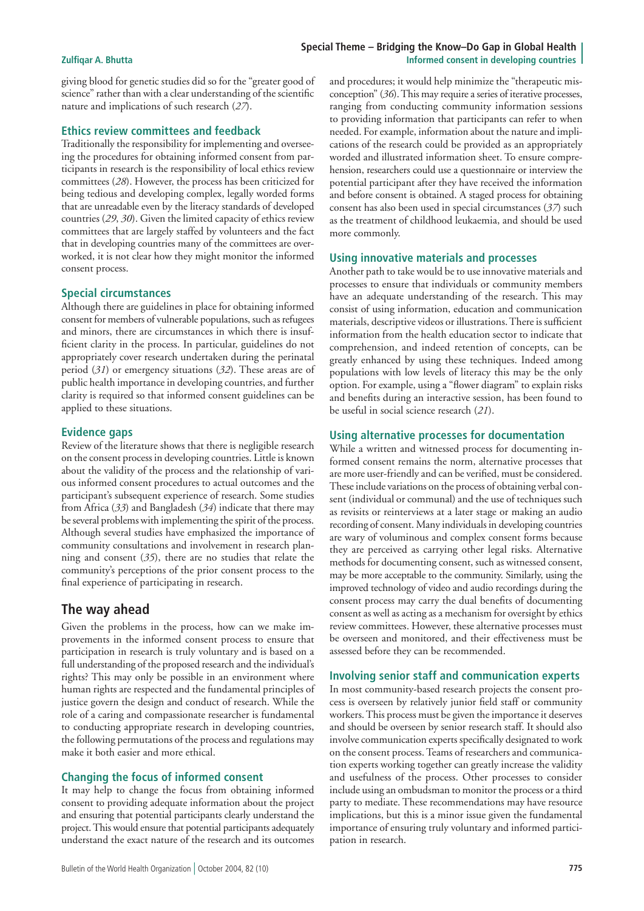#### **Special Theme – Bridging the Know–Do Gap in Global Health Zulfiqar A. Bhutta Informed consent in developing countries**

giving blood for genetic studies did so for the "greater good of science" rather than with a clear understanding of the scientific nature and implications of such research (*27*).

#### **Ethics review committees and feedback**

Traditionally the responsibility for implementing and overseeing the procedures for obtaining informed consent from participants in research is the responsibility of local ethics review committees (*28*). However, the process has been criticized for being tedious and developing complex, legally worded forms that are unreadable even by the literacy standards of developed countries (*29*, *30*). Given the limited capacity of ethics review committees that are largely staffed by volunteers and the fact that in developing countries many of the committees are overworked, it is not clear how they might monitor the informed consent process.

#### **Special circumstances**

Although there are guidelines in place for obtaining informed consent for members of vulnerable populations, such as refugees and minors, there are circumstances in which there is insufficient clarity in the process. In particular, guidelines do not appropriately cover research undertaken during the perinatal period (*31*) or emergency situations (*32*). These areas are of public health importance in developing countries, and further clarity is required so that informed consent guidelines can be applied to these situations.

#### **Evidence gaps**

Review of the literature shows that there is negligible research on the consent process in developing countries. Little is known about the validity of the process and the relationship of various informed consent procedures to actual outcomes and the participant's subsequent experience of research. Some studies from Africa (*33*) and Bangladesh (*34*) indicate that there may be several problems with implementing the spirit of the process. Although several studies have emphasized the importance of community consultations and involvement in research planning and consent (*35*), there are no studies that relate the community's perceptions of the prior consent process to the final experience of participating in research.

# **The way ahead**

Given the problems in the process, how can we make improvements in the informed consent process to ensure that participation in research is truly voluntary and is based on a full understanding of the proposed research and the individual's rights? This may only be possible in an environment where human rights are respected and the fundamental principles of justice govern the design and conduct of research. While the role of a caring and compassionate researcher is fundamental to conducting appropriate research in developing countries, the following permutations of the process and regulations may make it both easier and more ethical.

### **Changing the focus of informed consent**

It may help to change the focus from obtaining informed consent to providing adequate information about the project and ensuring that potential participants clearly understand the project. This would ensure that potential participants adequately understand the exact nature of the research and its outcomes

and procedures; it would help minimize the "therapeutic misconception" (*36*). This may require a series of iterative processes, ranging from conducting community information sessions to providing information that participants can refer to when needed. For example, information about the nature and implications of the research could be provided as an appropriately worded and illustrated information sheet. To ensure comprehension, researchers could use a questionnaire or interview the potential participant after they have received the information and before consent is obtained. A staged process for obtaining consent has also been used in special circumstances (*37*) such as the treatment of childhood leukaemia, and should be used more commonly.

#### **Using innovative materials and processes**

Another path to take would be to use innovative materials and processes to ensure that individuals or community members have an adequate understanding of the research. This may consist of using information, education and communication materials, descriptive videos or illustrations. There is sufficient information from the health education sector to indicate that comprehension, and indeed retention of concepts, can be greatly enhanced by using these techniques. Indeed among populations with low levels of literacy this may be the only option. For example, using a "flower diagram" to explain risks and benefits during an interactive session, has been found to be useful in social science research (*21*).

#### **Using alternative processes for documentation**

While a written and witnessed process for documenting informed consent remains the norm, alternative processes that are more user-friendly and can be verified, must be considered. These include variations on the process of obtaining verbal consent (individual or communal) and the use of techniques such as revisits or reinterviews at a later stage or making an audio recording of consent. Many individuals in developing countries are wary of voluminous and complex consent forms because they are perceived as carrying other legal risks. Alternative methods for documenting consent, such as witnessed consent, may be more acceptable to the community. Similarly, using the improved technology of video and audio recordings during the consent process may carry the dual benefits of documenting consent as well as acting as a mechanism for oversight by ethics review committees. However, these alternative processes must be overseen and monitored, and their effectiveness must be assessed before they can be recommended.

#### **Involving senior staff and communication experts**

In most community-based research projects the consent process is overseen by relatively junior field staff or community workers. This process must be given the importance it deserves and should be overseen by senior research staff. It should also involve communication experts specifically designated to work on the consent process. Teams of researchers and communication experts working together can greatly increase the validity and usefulness of the process. Other processes to consider include using an ombudsman to monitor the process or a third party to mediate. These recommendations may have resource implications, but this is a minor issue given the fundamental importance of ensuring truly voluntary and informed participation in research.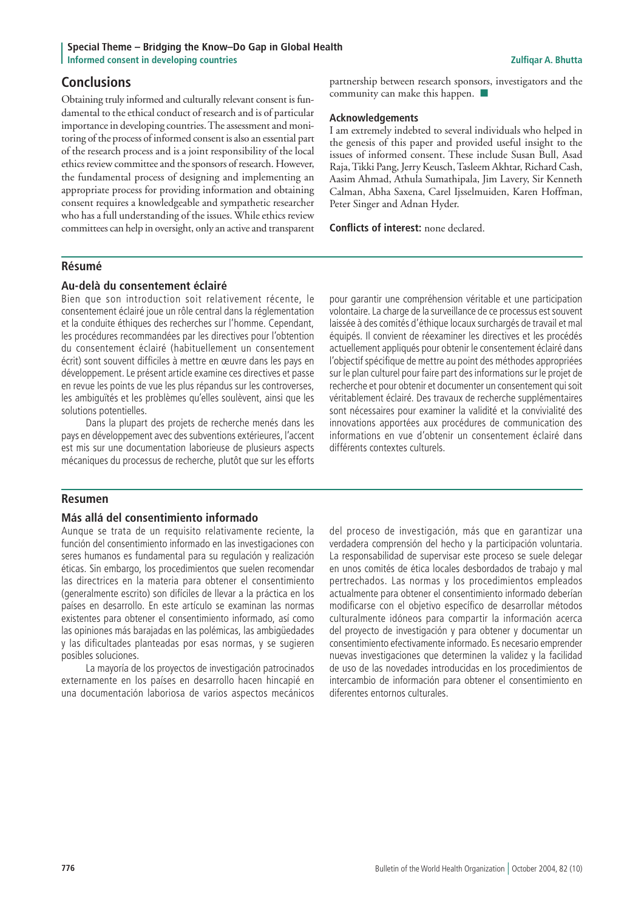# **Conclusions**

Obtaining truly informed and culturally relevant consent is fundamental to the ethical conduct of research and is of particular importance in developing countries. The assessment and monitoring of the process of informed consent is also an essential part of the research process and is a joint responsibility of the local ethics review committee and the sponsors of research. However, the fundamental process of designing and implementing an appropriate process for providing information and obtaining consent requires a knowledgeable and sympathetic researcher who has a full understanding of the issues. While ethics review committees can help in oversight, only an active and transparent

partnership between research sponsors, investigators and the community can make this happen.  $\Box$ 

#### **Acknowledgements**

I am extremely indebted to several individuals who helped in the genesis of this paper and provided useful insight to the issues of informed consent. These include Susan Bull, Asad Raja, Tikki Pang, Jerry Keusch, Tasleem Akhtar, Richard Cash, Aasim Ahmad, Athula Sumathipala, Jim Lavery, Sir Kenneth Calman, Abha Saxena, Carel Ijsselmuiden, Karen Hoffman, Peter Singer and Adnan Hyder.

**Conflicts of interest:** none declared.

### **Résumé**

#### **Au-delà du consentement éclairé**

Bien que son introduction soit relativement récente, le consentement éclairé joue un rôle central dans la réglementation et la conduite éthiques des recherches sur l'homme. Cependant, les procédures recommandées par les directives pour l'obtention du consentement éclairé (habituellement un consentement écrit) sont souvent difficiles à mettre en œuvre dans les pays en développement. Le présent article examine ces directives et passe en revue les points de vue les plus répandus sur les controverses, les ambiguïtés et les problèmes qu'elles soulèvent, ainsi que les solutions potentielles.

Dans la plupart des projets de recherche menés dans les pays en développement avec des subventions extérieures, l'accent est mis sur une documentation laborieuse de plusieurs aspects mécaniques du processus de recherche, plutôt que sur les efforts pour garantir une compréhension véritable et une participation volontaire. La charge de la surveillance de ce processus est souvent laissée à des comités d'éthique locaux surchargés de travail et mal équipés. Il convient de réexaminer les directives et les procédés actuellement appliqués pour obtenir le consentement éclairé dans l'objectif spécifique de mettre au point des méthodes appropriées sur le plan culturel pour faire part des informations sur le projet de recherche et pour obtenir et documenter un consentement qui soit véritablement éclairé. Des travaux de recherche supplémentaires sont nécessaires pour examiner la validité et la convivialité des innovations apportées aux procédures de communication des informations en vue d'obtenir un consentement éclairé dans différents contextes culturels.

### **Resumen**

### **Más allá del consentimiento informado**

Aunque se trata de un requisito relativamente reciente, la función del consentimiento informado en las investigaciones con seres humanos es fundamental para su regulación y realización éticas. Sin embargo, los procedimientos que suelen recomendar las directrices en la materia para obtener el consentimiento (generalmente escrito) son difíciles de llevar a la práctica en los países en desarrollo. En este artículo se examinan las normas existentes para obtener el consentimiento informado, así como las opiniones más barajadas en las polémicas, las ambigüedades y las dificultades planteadas por esas normas, y se sugieren posibles soluciones.

La mayoría de los proyectos de investigación patrocinados externamente en los países en desarrollo hacen hincapié en una documentación laboriosa de varios aspectos mecánicos del proceso de investigación, más que en garantizar una verdadera comprensión del hecho y la participación voluntaria. La responsabilidad de supervisar este proceso se suele delegar en unos comités de ética locales desbordados de trabajo y mal pertrechados. Las normas y los procedimientos empleados actualmente para obtener el consentimiento informado deberían modificarse con el objetivo específico de desarrollar métodos culturalmente idóneos para compartir la información acerca del proyecto de investigación y para obtener y documentar un consentimiento efectivamente informado. Es necesario emprender nuevas investigaciones que determinen la validez y la facilidad de uso de las novedades introducidas en los procedimientos de intercambio de información para obtener el consentimiento en diferentes entornos culturales.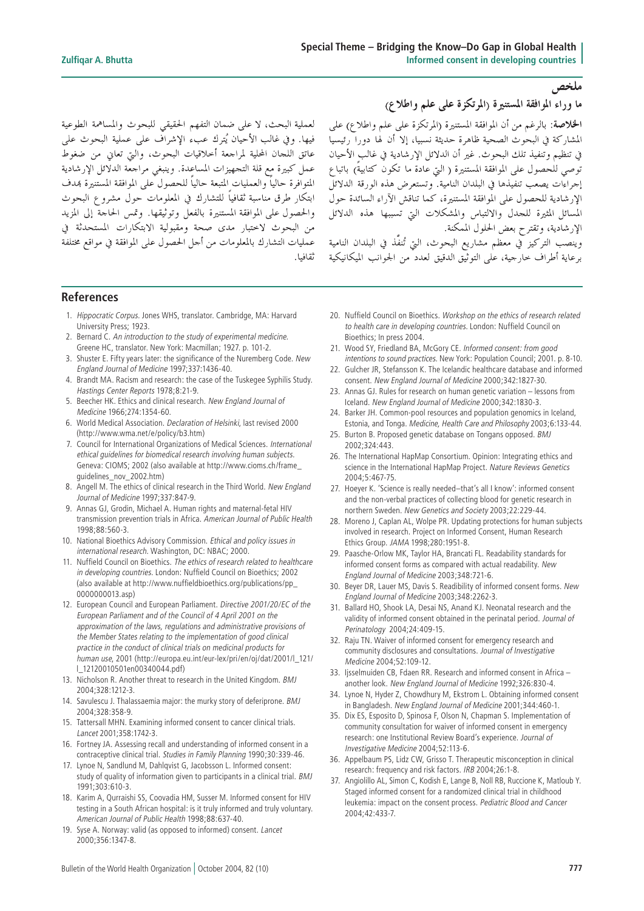## لعملية البحث، لا على ضمان التفهم الحقيقي للبحوث والمساهمة الطوعية فيها. وفي غالب الأحيان يُترك عبء الإشراف على عملية البحوث على عاتق اللحان المحلية لمراجعة أحلاقيات البحوث، والتي تعاني من ضغوط عمل كبيرة مع قلة التجهيزات المساعدة. وينبغي مراجعة الدلائل الإرشادية المتوافرة حالياً والعمليات المتبعة حالياً للحصول على الموافقة المستنيرة بمدف ابتكار طرق مناسبة ثقافياً للتشارك في المعلومات حول مشروع البحوث والحصول على الموافقة المستنيرة بالفعل وتوثيقها. وقمس الحاجة إلى المزيد من البحوث لاختبار مدى صحة ومقبولية الابتكارات المستحدثة في عمليات التشارك بالمعلومات من أجل الحصول على الموافقة في مواقع مختلفة ثقافيا.

ما وراء الموافقة المستنيرة (المرتكزة على علم واطلاع)

ملخص

ا**لخلاصة**: بالرغم من أن الموافقة المستنيرة (المرتكزة على علم واطلاع) على المشاركة في البحوث الصحية ظاهرة حديثة نسبيا، إلا أن لها دوراً رئيسياً في تنظيم وتنفيذ تلك البحوث. غير أن الدلائل الإرشادية في غالب الأحيان توصى للحصول على الموافقة المستنيرة ( التي عادة ما تكون كتابيةً) باتباع إجراءات يصعب تنفيذها في البلدان النامية. وتستعرض هذه الورقة الدلائل الإرشادية للحصول على الموافقة المستنيرة، كما تناقش الآراء السائدة حول ا<br>المسائل المثيرة للحدل والالتباس والمشكلات التي تسببها هذه الدلائل الإرشادية، وتقترح بعض الحلول الممكنة.

م<br>وينصب التركيز في معظم مشاريع البحوث، التي تُنفَّذ في البلدان النامية برعاية أطراف حارجية، على التوثيق الدقيق لعدد من الجوانب الميكانيكية

#### **References**

- 1. Hippocratic Corpus. Jones WHS, translator. Cambridge, MA: Harvard University Press; 1923.
- 2. Bernard C. An introduction to the study of experimental medicine. Greene HC, translator. New York: Macmillan; 1927. p. 101-2.
- 3. Shuster E. Fifty years later: the significance of the Nuremberg Code. New England Journal of Medicine 1997;337:1436-40.
- 4. Brandt MA. Racism and research: the case of the Tuskegee Syphilis Study. Hastings Center Reports 1978;8:21-9.
- 5. Beecher HK. Ethics and clinical research. New England Journal of Medicine 1966;274:1354-60.
- 6. World Medical Association. Declaration of Helsinki, last revised 2000 (http://www.wma.net/e/policy/b3.htm)
- 7. Council for International Organizations of Medical Sciences. International ethical guidelines for biomedical research involving human subjects. Geneva: CIOMS; 2002 (also available at http://www.cioms.ch/frame\_ guidelines\_nov\_2002.htm)
- 8. Angell M. The ethics of clinical research in the Third World. New England Journal of Medicine 1997;337:847-9.
- 9. Annas GJ, Grodin, Michael A. Human rights and maternal-fetal HIV transmission prevention trials in Africa. American Journal of Public Health 1998;88:560-3.
- 10. National Bioethics Advisory Commission. Ethical and policy issues in international research. Washington, DC: NBAC; 2000.
- 11. Nuffield Council on Bioethics. The ethics of research related to healthcare in developing countries. London: Nuffield Council on Bioethics; 2002 (also available at http://www.nuffieldbioethics.org/publications/pp\_ 0000000013.asp)
- 12. European Council and European Parliament. Directive 2001/20/EC of the European Parliament and of the Council of 4 April 2001 on the approximation of the laws, regulations and administrative provisions of the Member States relating to the implementation of good clinical practice in the conduct of clinical trials on medicinal products for human use, 2001 (http://europa.eu.int/eur-lex/pri/en/oj/dat/2001/l\_121/ l\_12120010501en00340044.pdf)
- 13. Nicholson R. Another threat to research in the United Kingdom. BMJ 2004;328:1212-3.
- 14. Savulescu J. Thalassaemia major: the murky story of deferiprone. BMJ 2004;328:358-9.
- 15. Tattersall MHN. Examining informed consent to cancer clinical trials. Lancet 2001;358:1742-3.
- 16. Fortney JA. Assessing recall and understanding of informed consent in a contraceptive clinical trial. Studies in Family Planning 1990;30:339-46.
- 17. Lynoe N, Sandlund M, Dahlqvist G, Jacobsson L. Informed consent: study of quality of information given to participants in a clinical trial. BMJ 1991;303:610-3.
- 18. Karim A, Qurraishi SS, Coovadia HM, Susser M. Informed consent for HIV testing in a South African hospital: is it truly informed and truly voluntary. American Journal of Public Health 1998;88:637-40.
- 19. Syse A. Norway: valid (as opposed to informed) consent. Lancet 2000;356:1347-8.
- 20. Nuffield Council on Bioethics. Workshop on the ethics of research related to health care in developing countries. London: Nuffield Council on Bioethics; In press 2004.
- 21. Wood SY, Friedland BA, McGory CE. Informed consent: from good intentions to sound practices. New York: Population Council; 2001. p. 8-10.
- 22. Gulcher JR, Stefansson K. The Icelandic healthcare database and informed consent. New England Journal of Medicine 2000;342:1827-30.
- 23. Annas GJ. Rules for research on human genetic variation lessons from Iceland. New England Journal of Medicine 2000;342:1830-3.
- 24. Barker JH. Common-pool resources and population genomics in Iceland, Estonia, and Tonga. Medicine, Health Care and Philosophy 2003;6:133-44.
- 25. Burton B. Proposed genetic database on Tongans opposed. BMJ 2002;324:443.
- 26. The International HapMap Consortium. Opinion: Integrating ethics and science in the International HapMap Project. Nature Reviews Genetics 2004;5:467-75.
- 27. Hoeyer K. 'Science is really needed–that's all I know': informed consent and the non-verbal practices of collecting blood for genetic research in northern Sweden. New Genetics and Society 2003;22:229-44.
- 28. Moreno J, Caplan AL, Wolpe PR. Updating protections for human subjects involved in research. Project on Informed Consent, Human Research Ethics Group. JAMA 1998;280:1951-8.
- 29. Paasche-Orlow MK, Taylor HA, Brancati FL. Readability standards for informed consent forms as compared with actual readability. New England Journal of Medicine 2003;348:721-6.
- 30. Beyer DR, Lauer MS, Davis S. Readibility of informed consent forms. New England Journal of Medicine 2003;348:2262-3.
- 31. Ballard HO, Shook LA, Desai NS, Anand KJ. Neonatal research and the validity of informed consent obtained in the perinatal period. Journal of Perinatology 2004;24:409-15.
- 32. Raju TN. Waiver of informed consent for emergency research and community disclosures and consultations. Journal of Investigative Medicine 2004;52:109-12.
- 33. Ijsselmuiden CB, Fdaen RR. Research and informed consent in Africa another look. New England Journal of Medicine 1992;326:830-4.
- 34. Lynoe N, Hyder Z, Chowdhury M, Ekstrom L. Obtaining informed consent in Bangladesh. New England Journal of Medicine 2001;344:460-1.
- 35. Dix ES, Esposito D, Spinosa F, Olson N, Chapman S. Implementation of community consultation for waiver of informed consent in emergency research: one Institutional Review Board's experience. Journal of Investigative Medicine 2004;52:113-6.
- 36. Appelbaum PS, Lidz CW, Grisso T. Therapeutic misconception in clinical research: frequency and risk factors. IRB 2004;26:1-8.
- 37. Angiolillo AL, Simon C, Kodish E, Lange B, Noll RB, Ruccione K, Matloub Y. Staged informed consent for a randomized clinical trial in childhood leukemia: impact on the consent process. Pediatric Blood and Cancer 2004;42:433-7.